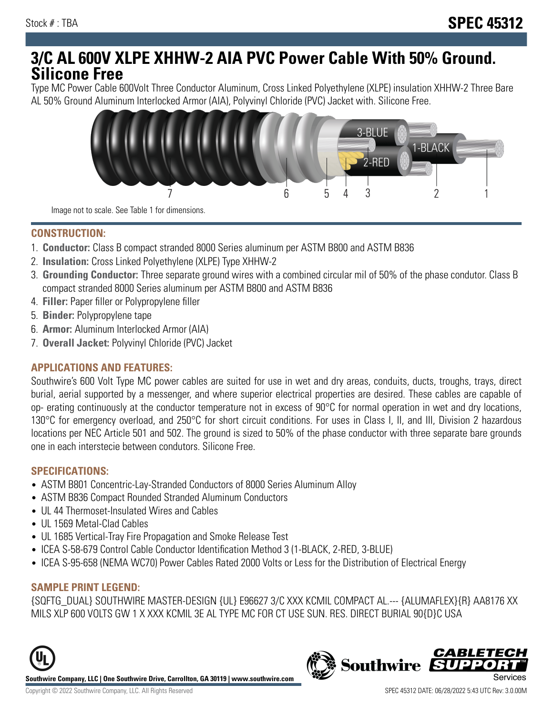# **3/C AL 600V XLPE XHHW-2 AIA PVC Power Cable With 50% Ground. Silicone Free**

Type MC Power Cable 600Volt Three Conductor Aluminum, Cross Linked Polyethylene (XLPE) insulation XHHW-2 Three Bare AL 50% Ground Aluminum Interlocked Armor (AIA), Polyvinyl Chloride (PVC) Jacket with. Silicone Free.



Image not to scale. See Table 1 for dimensions.

#### **CONSTRUCTION:**

- 1. **Conductor:** Class B compact stranded 8000 Series aluminum per ASTM B800 and ASTM B836
- 2. **Insulation:** Cross Linked Polyethylene (XLPE) Type XHHW-2
- 3. **Grounding Conductor:** Three separate ground wires with a combined circular mil of 50% of the phase condutor. Class B compact stranded 8000 Series aluminum per ASTM B800 and ASTM B836
- 4. **Filler:** Paper filler or Polypropylene filler
- 5. **Binder:** Polypropylene tape
- 6. **Armor:** Aluminum Interlocked Armor (AIA)
- 7. **Overall Jacket:** Polyvinyl Chloride (PVC) Jacket

### **APPLICATIONS AND FEATURES:**

Southwire's 600 Volt Type MC power cables are suited for use in wet and dry areas, conduits, ducts, troughs, trays, direct burial, aerial supported by a messenger, and where superior electrical properties are desired. These cables are capable of op- erating continuously at the conductor temperature not in excess of 90°C for normal operation in wet and dry locations, 130°C for emergency overload, and 250°C for short circuit conditions. For uses in Class I, II, and III, Division 2 hazardous locations per NEC Article 501 and 502. The ground is sized to 50% of the phase conductor with three separate bare grounds one in each interstecie between condutors. Silicone Free.

#### **SPECIFICATIONS:**

- ASTM B801 Concentric-Lay-Stranded Conductors of 8000 Series Aluminum Alloy
- ASTM B836 Compact Rounded Stranded Aluminum Conductors
- UL 44 Thermoset-Insulated Wires and Cables
- UL 1569 Metal-Clad Cables
- UL 1685 Vertical-Tray Fire Propagation and Smoke Release Test
- ICEA S-58-679 Control Cable Conductor Identification Method 3 (1-BLACK, 2-RED, 3-BLUE)
- ICEA S-95-658 (NEMA WC70) Power Cables Rated 2000 Volts or Less for the Distribution of Electrical Energy

### **SAMPLE PRINT LEGEND:**

{SQFTG\_DUAL} SOUTHWIRE MASTER-DESIGN {UL} E96627 3/C XXX KCMIL COMPACT AL.--- {ALUMAFLEX}{R} AA8176 XX MILS XLP 600 VOLTS GW 1 X XXX KCMIL 3E AL TYPE MC FOR CT USE SUN. RES. DIRECT BURIAL 90{D}C USA